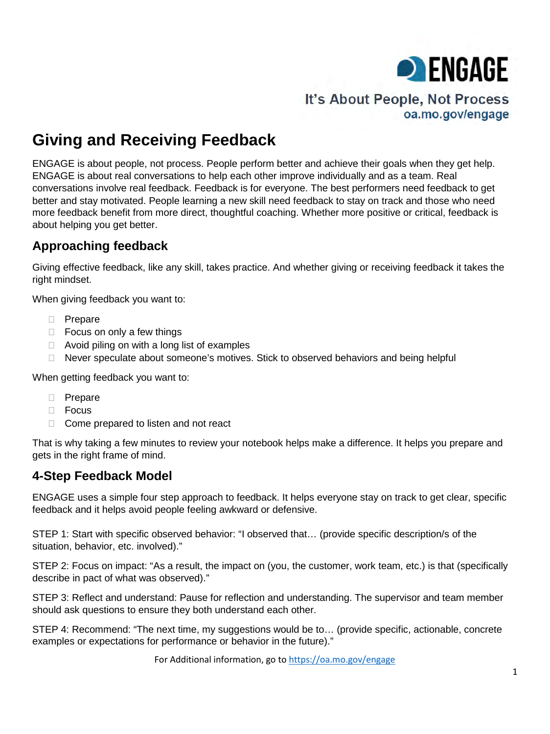

# It's About People, Not Process oa.mo.gov/engage

# **Giving and Receiving Feedback**

ENGAGE is about people, not process. People perform better and achieve their goals when they get help. ENGAGE is about real conversations to help each other improve individually and as a team. Real conversations involve real feedback. Feedback is for everyone. The best performers need feedback to get better and stay motivated. People learning a new skill need feedback to stay on track and those who need more feedback benefit from more direct, thoughtful coaching. Whether more positive or critical, feedback is about helping you get better.

# **Approaching feedback**

Giving effective feedback, like any skill, takes practice. And whether giving or receiving feedback it takes the right mindset.

When giving feedback you want to:

- **D** Prepare
- $\Box$  Focus on only a few things
- $\Box$  Avoid piling on with a long list of examples
- $\Box$  Never speculate about someone's motives. Stick to observed behaviors and being helpful

When getting feedback you want to:

- **D** Prepare
- $\Box$  Focus
- $\Box$  Come prepared to listen and not react

That is why taking a few minutes to review your notebook helps make a difference. It helps you prepare and gets in the right frame of mind.

### **4-Step Feedback Model**

ENGAGE uses a simple four step approach to feedback. It helps everyone stay on track to get clear, specific feedback and it helps avoid people feeling awkward or defensive.

STEP 1: Start with specific observed behavior: "I observed that… (provide specific description/s of the situation, behavior, etc. involved)."

STEP 2: Focus on impact: "As a result, the impact on (you, the customer, work team, etc.) is that (specifically describe in pact of what was observed)."

STEP 3: Reflect and understand: Pause for reflection and understanding. The supervisor and team member should ask questions to ensure they both understand each other.

STEP 4: Recommend: "The next time, my suggestions would be to… (provide specific, actionable, concrete examples or expectations for performance or behavior in the future)."

For Additional information, go to<https://oa.mo.gov/engage>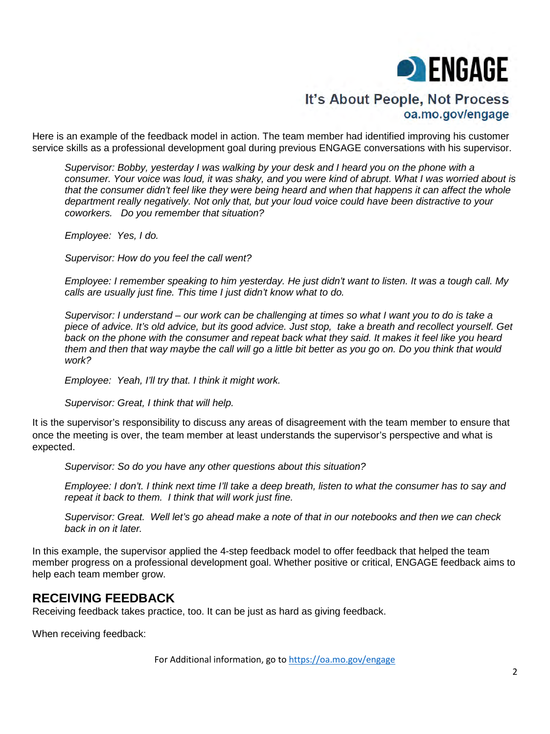

## It's About People, Not Process oa.mo.gov/engage

Here is an example of the feedback model in action. The team member had identified improving his customer service skills as a professional development goal during previous ENGAGE conversations with his supervisor.

*Supervisor: Bobby, yesterday I was walking by your desk and I heard you on the phone with a consumer. Your voice was loud, it was shaky, and you were kind of abrupt. What I was worried about is that the consumer didn't feel like they were being heard and when that happens it can affect the whole department really negatively. Not only that, but your loud voice could have been distractive to your coworkers. Do you remember that situation?*

*Employee: Yes, I do.* 

*Supervisor: How do you feel the call went?*

*Employee: I remember speaking to him yesterday. He just didn't want to listen. It was a tough call. My calls are usually just fine. This time I just didn't know what to do.*

*Supervisor: I understand – our work can be challenging at times so what I want you to do is take a piece of advice. It's old advice, but its good advice. Just stop, take a breath and recollect yourself. Get back on the phone with the consumer and repeat back what they said. It makes it feel like you heard them and then that way maybe the call will go a little bit better as you go on. Do you think that would work?* 

*Employee: Yeah, I'll try that. I think it might work.*

*Supervisor: Great, I think that will help.*

It is the supervisor's responsibility to discuss any areas of disagreement with the team member to ensure that once the meeting is over, the team member at least understands the supervisor's perspective and what is expected.

*Supervisor: So do you have any other questions about this situation?* 

*Employee: I don't. I think next time I'll take a deep breath, listen to what the consumer has to say and repeat it back to them. I think that will work just fine.* 

*Supervisor: Great. Well let's go ahead make a note of that in our notebooks and then we can check back in on it later.* 

In this example, the supervisor applied the 4-step feedback model to offer feedback that helped the team member progress on a professional development goal. Whether positive or critical, ENGAGE feedback aims to help each team member grow.

### **RECEIVING FEEDBACK**

Receiving feedback takes practice, too. It can be just as hard as giving feedback.

When receiving feedback:

For Additional information, go to<https://oa.mo.gov/engage>